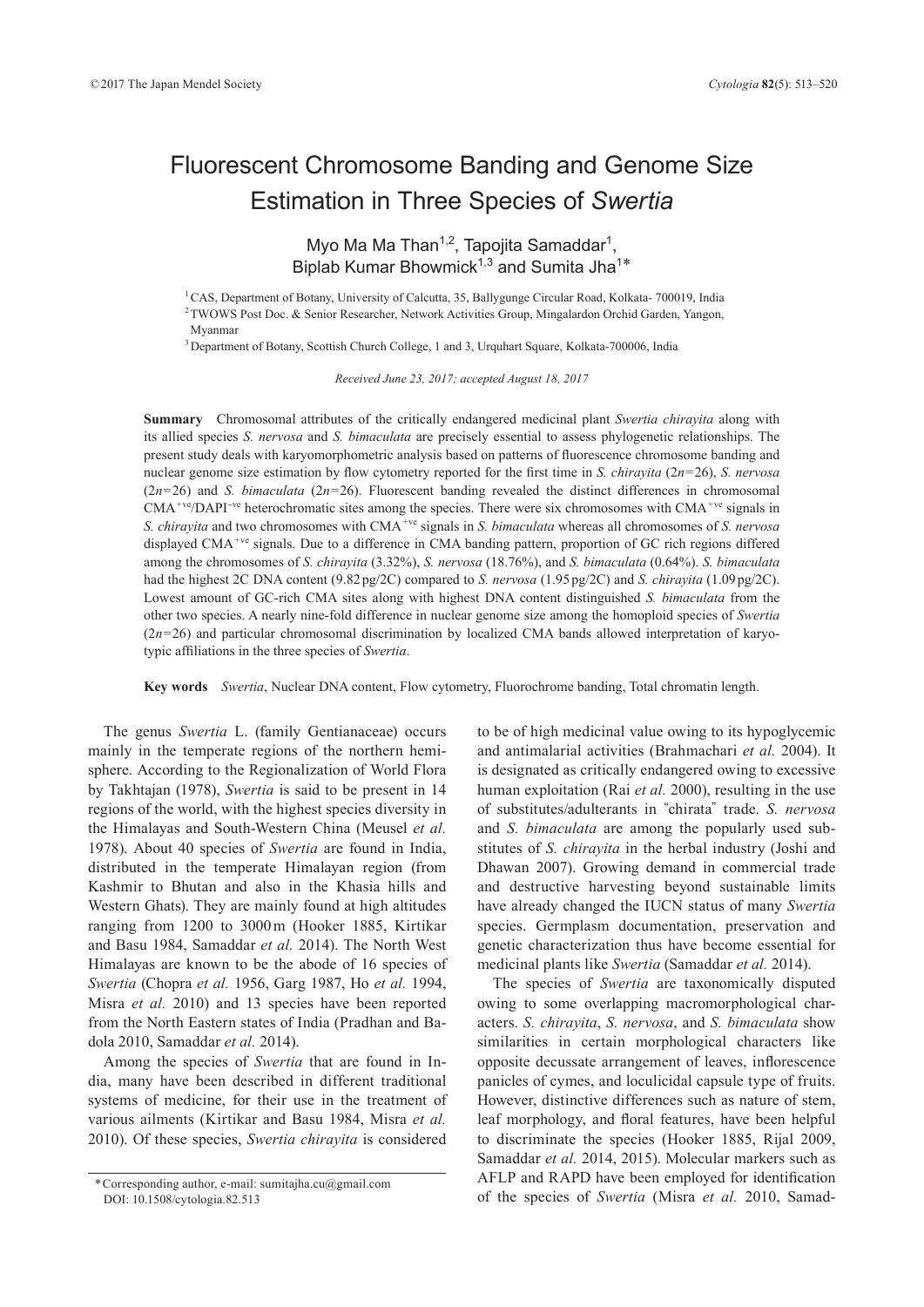# Fluorescent Chromosome Banding and Genome Size Estimation in Three Species of *Swertia*

Myo Ma Ma Than<sup>1,2</sup>, Tapojita Samaddar<sup>1</sup>, Biplab Kumar Bhowmick<sup>1,3</sup> and Sumita Jha<sup>1\*</sup>

<sup>1</sup> CAS, Department of Botany, University of Calcutta, 35, Ballygunge Circular Road, Kolkata- 700019, India <sup>2</sup> TWOWS Post Doc. & Senior Researcher, Network Activities Group, Mingalardon Orchid Garden, Yangon, Myanmar

<sup>3</sup> Department of Botany, Scottish Church College, 1 and 3, Urquhart Square, Kolkata-700006, India

*Received June 23, 2017; accepted August 18, 2017*

**Summary** Chromosomal attributes of the critically endangered medicinal plant *Swertia chirayita* along with its allied species *S. nervosa* and *S. bimaculata* are precisely essential to assess phylogenetic relationships. The present study deals with karyomorphometric analysis based on patterns of fluorescence chromosome banding and nuclear genome size estimation by flow cytometry reported for the first time in *S. chirayita* (2*n*=26), *S. nervosa* (2*n*=26) and *S. bimaculata* (2*n*=26). Fluorescent banding revealed the distinct differences in chromosomal  $CMA<sup>+ve</sup>/DAPI<sup>-ve</sup>$  heterochromatic sites among the species. There were six chromosomes with  $CMA<sup>+ve</sup>$  signals in *S. chirayita* and two chromosomes with CMA+ve signals in *S. bimaculata* whereas all chromosomes of *S. nervosa* displayed CMA+ve signals. Due to a difference in CMA banding pattern, proportion of GC rich regions differed among the chromosomes of *S. chirayita* (3.32%), *S. nervosa* (18.76%), and *S. bimaculata* (0.64%). *S. bimaculata* had the highest 2C DNA content (9.82 pg/2C) compared to *S. nervosa* (1.95 pg/2C) and *S. chirayita* (1.09 pg/2C). Lowest amount of GC-rich CMA sites along with highest DNA content distinguished *S. bimaculata* from the other two species. A nearly nine-fold difference in nuclear genome size among the homoploid species of *Swertia* (2*n*=26) and particular chromosomal discrimination by localized CMA bands allowed interpretation of karyotypic affiliations in the three species of *Swertia*.

**Key words** *Swertia*, Nuclear DNA content, Flow cytometry, Fluorochrome banding, Total chromatin length.

The genus *Swertia* L. (family Gentianaceae) occurs mainly in the temperate regions of the northern hemisphere. According to the Regionalization of World Flora by Takhtajan (1978), *Swertia* is said to be present in 14 regions of the world, with the highest species diversity in the Himalayas and South-Western China (Meusel *et al.* 1978). About 40 species of *Swertia* are found in India, distributed in the temperate Himalayan region (from Kashmir to Bhutan and also in the Khasia hills and Western Ghats). They are mainly found at high altitudes ranging from 1200 to 3000m (Hooker 1885, Kirtikar and Basu 1984, Samaddar *et al.* 2014). The North West Himalayas are known to be the abode of 16 species of *Swertia* (Chopra *et al.* 1956, Garg 1987, Ho *et al.* 1994, Misra *et al.* 2010) and 13 species have been reported from the North Eastern states of India (Pradhan and Badola 2010, Samaddar *et al.* 2014).

Among the species of *Swertia* that are found in India, many have been described in different traditional systems of medicine, for their use in the treatment of various ailments (Kirtikar and Basu 1984, Misra *et al.* 2010). Of these species, *Swertia chirayita* is considered

to be of high medicinal value owing to its hypoglycemic and antimalarial activities (Brahmachari *et al.* 2004). It is designated as critically endangered owing to excessive human exploitation (Rai *et al.* 2000), resulting in the use of substitutes/adulterants in "chirata" trade. *S. nervosa* and *S. bimaculata* are among the popularly used substitutes of *S. chirayita* in the herbal industry (Joshi and Dhawan 2007). Growing demand in commercial trade and destructive harvesting beyond sustainable limits have already changed the IUCN status of many *Swertia* species. Germplasm documentation, preservation and genetic characterization thus have become essential for medicinal plants like *Swertia* (Samaddar *et al.* 2014).

The species of *Swertia* are taxonomically disputed owing to some overlapping macromorphological characters. *S. chirayita*, *S. nervosa*, and *S. bimaculata* show similarities in certain morphological characters like opposite decussate arrangement of leaves, inflorescence panicles of cymes, and loculicidal capsule type of fruits. However, distinctive differences such as nature of stem, leaf morphology, and floral features, have been helpful to discriminate the species (Hooker 1885, Rijal 2009, Samaddar *et al.* 2014, 2015). Molecular markers such as AFLP and RAPD have been employed for identification of the species of *Swertia* (Misra *et al.* 2010, Samad- \* Corresponding author, e-mail: sumitajha.cu@gmail.com

DOI: 10.1508/cytologia.82.513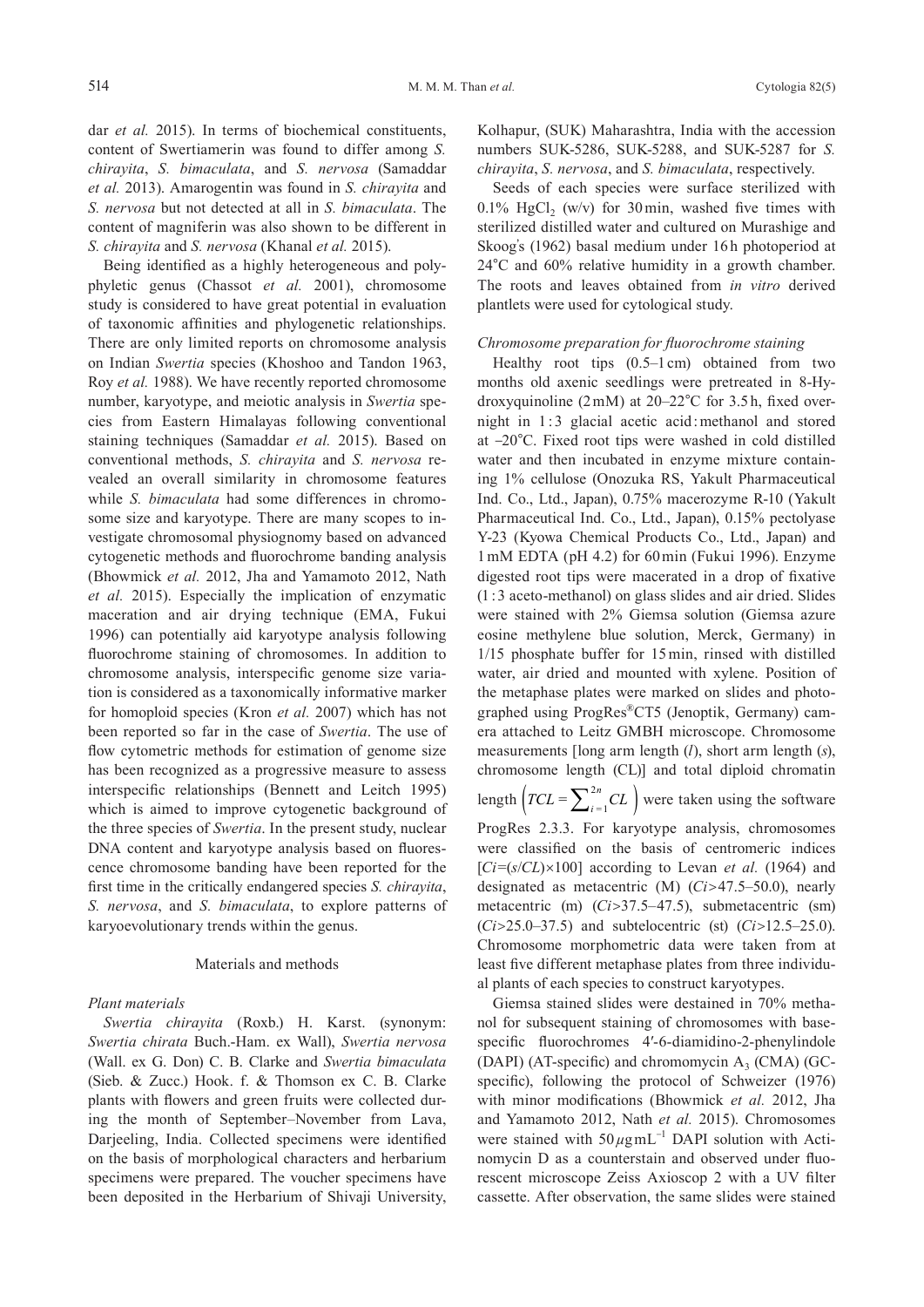dar *et al.* 2015). In terms of biochemical constituents, content of Swertiamerin was found to differ among *S. chirayita*, *S. bimaculata*, and *S. nervosa* (Samaddar *et al.* 2013). Amarogentin was found in *S. chirayita* and *S. nervosa* but not detected at all in *S. bimaculata*. The content of magniferin was also shown to be different in *S. chirayita* and *S. nervosa* (Khanal *et al.* 2015).

Being identified as a highly heterogeneous and polyphyletic genus (Chassot *et al.* 2001), chromosome study is considered to have great potential in evaluation of taxonomic affinities and phylogenetic relationships. There are only limited reports on chromosome analysis on Indian *Swertia* species (Khoshoo and Tandon 1963, Roy *et al.* 1988). We have recently reported chromosome number, karyotype, and meiotic analysis in *Swertia* species from Eastern Himalayas following conventional staining techniques (Samaddar *et al.* 2015). Based on conventional methods, *S. chirayita* and *S. nervosa* revealed an overall similarity in chromosome features while *S. bimaculata* had some differences in chromosome size and karyotype. There are many scopes to investigate chromosomal physiognomy based on advanced cytogenetic methods and fluorochrome banding analysis (Bhowmick *et al.* 2012, Jha and Yamamoto 2012, Nath *et al.* 2015). Especially the implication of enzymatic maceration and air drying technique (EMA, Fukui 1996) can potentially aid karyotype analysis following fluorochrome staining of chromosomes. In addition to chromosome analysis, interspecific genome size variation is considered as a taxonomically informative marker for homoploid species (Kron *et al.* 2007) which has not been reported so far in the case of *Swertia*. The use of flow cytometric methods for estimation of genome size has been recognized as a progressive measure to assess interspecific relationships (Bennett and Leitch 1995) which is aimed to improve cytogenetic background of the three species of *Swertia*. In the present study, nuclear DNA content and karyotype analysis based on fluorescence chromosome banding have been reported for the first time in the critically endangered species *S. chirayita*, *S. nervosa*, and *S. bimaculata*, to explore patterns of karyoevolutionary trends within the genus.

## Materials and methods

## *Plant materials*

*Swertia chirayita* (Roxb.) H. Karst. (synonym: *Swertia chirata* Buch.-Ham. ex Wall), *Swertia nervosa* (Wall. ex G. Don) C. B. Clarke and *Swertia bimaculata* (Sieb. & Zucc.) Hook. f. & Thomson ex C. B. Clarke plants with flowers and green fruits were collected during the month of September–November from Lava, Darjeeling, India. Collected specimens were identified on the basis of morphological characters and herbarium specimens were prepared. The voucher specimens have been deposited in the Herbarium of Shivaji University,

Kolhapur, (SUK) Maharashtra, India with the accession numbers SUK-5286, SUK-5288, and SUK-5287 for *S. chirayita*, *S. nervosa*, and *S. bimaculata*, respectively.

Seeds of each species were surface sterilized with 0.1% HgCl<sub>2</sub> (w/v) for 30 min, washed five times with sterilized distilled water and cultured on Murashige and Skoog's (1962) basal medium under 16h photoperiod at 24°C and 60% relative humidity in a growth chamber. The roots and leaves obtained from *in vitro* derived plantlets were used for cytological study.

#### *Chromosome preparation for fluorochrome staining*

Healthy root tips (0.5–1 cm) obtained from two months old axenic seedlings were pretreated in 8-Hydroxyquinoline (2 mM) at 20–22°C for 3.5 h, fixed overnight in 1:3 glacial acetic acid: methanol and stored at -20°C. Fixed root tips were washed in cold distilled water and then incubated in enzyme mixture containing 1% cellulose (Onozuka RS, Yakult Pharmaceutical Ind. Co., Ltd., Japan), 0.75% macerozyme R-10 (Yakult Pharmaceutical Ind. Co., Ltd., Japan), 0.15% pectolyase Y-23 (Kyowa Chemical Products Co., Ltd., Japan) and 1 mM EDTA (pH 4.2) for 60 min (Fukui 1996). Enzyme digested root tips were macerated in a drop of fixative (1 : 3 aceto-methanol) on glass slides and air dried. Slides were stained with 2% Giemsa solution (Giemsa azure eosine methylene blue solution, Merck, Germany) in 1/15 phosphate buffer for 15 min, rinsed with distilled water, air dried and mounted with xylene. Position of the metaphase plates were marked on slides and photographed using ProgRes®CT5 (Jenoptik, Germany) camera attached to Leitz GMBH microscope. Chromosome measurements [long arm length (*l*), short arm length (*s*), chromosome length (CL)] and total diploid chromatin length  $\left( {TCL = \sum\nolimits_{i = 1}^{2n} {CL} } \right)$  were taken using the software ProgRes 2.3.3. For karyotype analysis, chromosomes were classified on the basis of centromeric indices [*Ci*=(*s*/*CL*)×100] according to Levan *et al.* (1964) and designated as metacentric (M) (*Ci*>47.5–50.0), nearly metacentric (m) (*Ci*>37.5–47.5), submetacentric (sm) (*Ci*>25.0–37.5) and subtelocentric (st) (*Ci*>12.5–25.0). Chromosome morphometric data were taken from at least five different metaphase plates from three individual plants of each species to construct karyotypes.

Giemsa stained slides were destained in 70% methanol for subsequent staining of chromosomes with basespecific fluorochromes 4'-6-diamidino-2-phenylindole (DAPI) (AT-specific) and chromomycin  $A_3$  (CMA) (GCspecific), following the protocol of Schweizer (1976) with minor modifications (Bhowmick *et al.* 2012, Jha and Yamamoto 2012, Nath *et al.* 2015). Chromosomes were stained with  $50 \mu g \text{m}$ L<sup>-1</sup> DAPI solution with Actinomycin D as a counterstain and observed under fluorescent microscope Zeiss Axioscop 2 with a UV filter cassette. After observation, the same slides were stained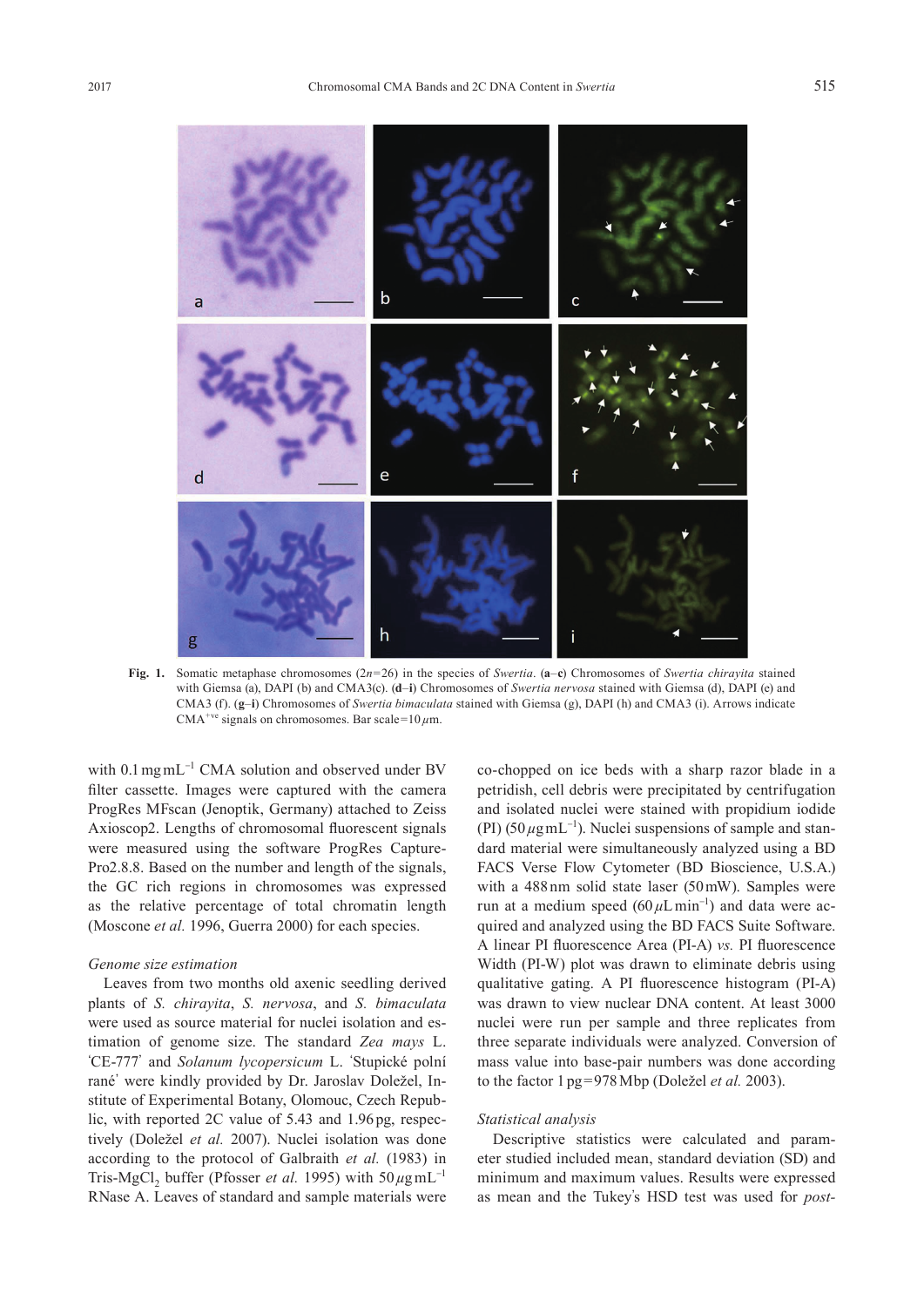

**Fig. 1.** Somatic metaphase chromosomes (2*n*=26) in the species of *Swertia*. (**a**–**c**) Chromosomes of *Swertia chirayita* stained with Giemsa (a), DAPI (b) and CMA3(c). (**d**–**i**) Chromosomes of *Swertia nervosa* stained with Giemsa (d), DAPI (e) and CMA3 (f). (**g**–**i**) Chromosomes of *Swertia bimaculata* stained with Giemsa (g), DAPI (h) and CMA3 (i). Arrows indicate CMA<sup>+ve</sup> signals on chromosomes. Bar scale=10 $\mu$ m.

with  $0.1 \,\text{mg}\,\text{mL}^{-1}$  CMA solution and observed under BV filter cassette. Images were captured with the camera ProgRes MFscan (Jenoptik, Germany) attached to Zeiss Axioscop2. Lengths of chromosomal fluorescent signals were measured using the software ProgRes Capture-Pro2.8.8. Based on the number and length of the signals, the GC rich regions in chromosomes was expressed as the relative percentage of total chromatin length (Moscone *et al.* 1996, Guerra 2000) for each species.

## *Genome size estimation*

Leaves from two months old axenic seedling derived plants of *S. chirayita*, *S. nervosa*, and *S. bimaculata* were used as source material for nuclei isolation and estimation of genome size. The standard *Zea mays* L. ʻCE-777' and *Solanum lycopersicum* L. ʻStupické polní rané' were kindly provided by Dr. Jaroslav Doležel, Institute of Experimental Botany, Olomouc, Czech Republic, with reported 2C value of 5.43 and 1.96 pg, respectively (Doležel *et al.* 2007). Nuclei isolation was done according to the protocol of Galbraith *et al.* (1983) in Tris-MgCl<sub>2</sub> buffer (Pfosser *et al.* 1995) with  $50 \mu g \text{mL}^{-1}$ RNase A. Leaves of standard and sample materials were

co-chopped on ice beds with a sharp razor blade in a petridish, cell debris were precipitated by centrifugation and isolated nuclei were stained with propidium iodide (PI)  $(50 \,\mu g \, \text{mL}^{-1})$ . Nuclei suspensions of sample and standard material were simultaneously analyzed using a BD FACS Verse Flow Cytometer (BD Bioscience, U.S.A.) with a 488 nm solid state laser (50 mW). Samples were run at a medium speed  $(60 \mu L \text{ min}^{-1})$  and data were acquired and analyzed using the BD FACS Suite Software. A linear PI fluorescence Area (PI-A) *vs.* PI fluorescence Width (PI-W) plot was drawn to eliminate debris using qualitative gating. A PI fluorescence histogram (PI-A) was drawn to view nuclear DNA content. At least 3000 nuclei were run per sample and three replicates from three separate individuals were analyzed. Conversion of mass value into base-pair numbers was done according to the factor 1 pg=978 Mbp (Doležel *et al.* 2003).

#### *Statistical analysis*

Descriptive statistics were calculated and parameter studied included mean, standard deviation (SD) and minimum and maximum values. Results were expressed as mean and the Tukey's HSD test was used for *post-*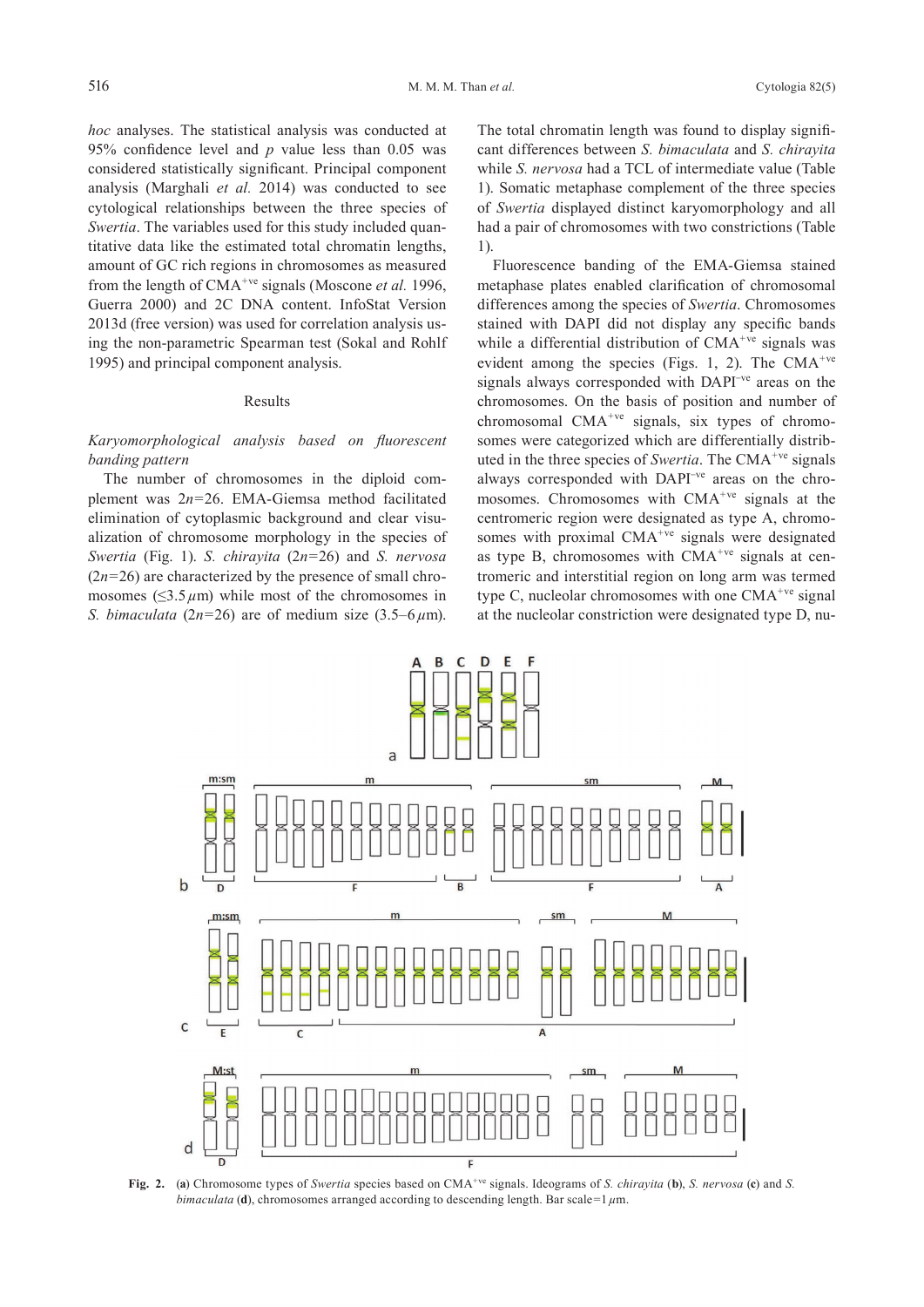*hoc* analyses. The statistical analysis was conducted at 95% confidence level and *p* value less than 0.05 was considered statistically significant. Principal component analysis (Marghali *et al.* 2014) was conducted to see cytological relationships between the three species of *Swertia*. The variables used for this study included quantitative data like the estimated total chromatin lengths, amount of GC rich regions in chromosomes as measured from the length of CMA+ve signals (Moscone *et al.* 1996, Guerra 2000) and 2C DNA content. InfoStat Version 2013d (free version) was used for correlation analysis using the non-parametric Spearman test (Sokal and Rohlf 1995) and principal component analysis.

# Results

# *Karyomorphological analysis based on fluorescent banding pattern*

The number of chromosomes in the diploid complement was 2*n*=26. EMA-Giemsa method facilitated elimination of cytoplasmic background and clear visualization of chromosome morphology in the species of *Swertia* (Fig. 1). *S. chirayita* (2*n*=26) and *S. nervosa*  $(2n=26)$  are characterized by the presence of small chromosomes ( $\leq$ 3.5 $\mu$ m) while most of the chromosomes in *S. bimaculata* ( $2n=26$ ) are of medium size (3.5–6 $\mu$ m).

The total chromatin length was found to display significant differences between *S. bimaculata* and *S. chirayita* while *S. nervosa* had a TCL of intermediate value (Table 1). Somatic metaphase complement of the three species of *Swertia* displayed distinct karyomorphology and all had a pair of chromosomes with two constrictions (Table 1).

Fluorescence banding of the EMA-Giemsa stained metaphase plates enabled clarification of chromosomal differences among the species of *Swertia*. Chromosomes stained with DAPI did not display any specific bands while a differential distribution of CMA<sup>+ve</sup> signals was evident among the species (Figs. 1, 2). The  $CMA^{+ve}$ signals always corresponded with DAPI<sup>-ve</sup> areas on the chromosomes. On the basis of position and number of chromosomal CMA+ve signals, six types of chromosomes were categorized which are differentially distributed in the three species of *Swertia*. The CMA+ve signals always corresponded with DAPI-ve areas on the chromosomes. Chromosomes with CMA<sup>+ve</sup> signals at the centromeric region were designated as type A, chromosomes with proximal CMA<sup>+ve</sup> signals were designated as type B, chromosomes with  $CMA<sup>+ve</sup>$  signals at centromeric and interstitial region on long arm was termed type C, nucleolar chromosomes with one  $CMA^{+ve}$  signal at the nucleolar constriction were designated type D, nu-



**Fig. 2.** (**a**) Chromosome types of *Swertia* species based on CMA+ve signals. Ideograms of *S. chirayita* (**b**), *S. nervosa* (**c**) and *S. bimaculata* (**d**), chromosomes arranged according to descending length. Bar scale=1 *µ*m.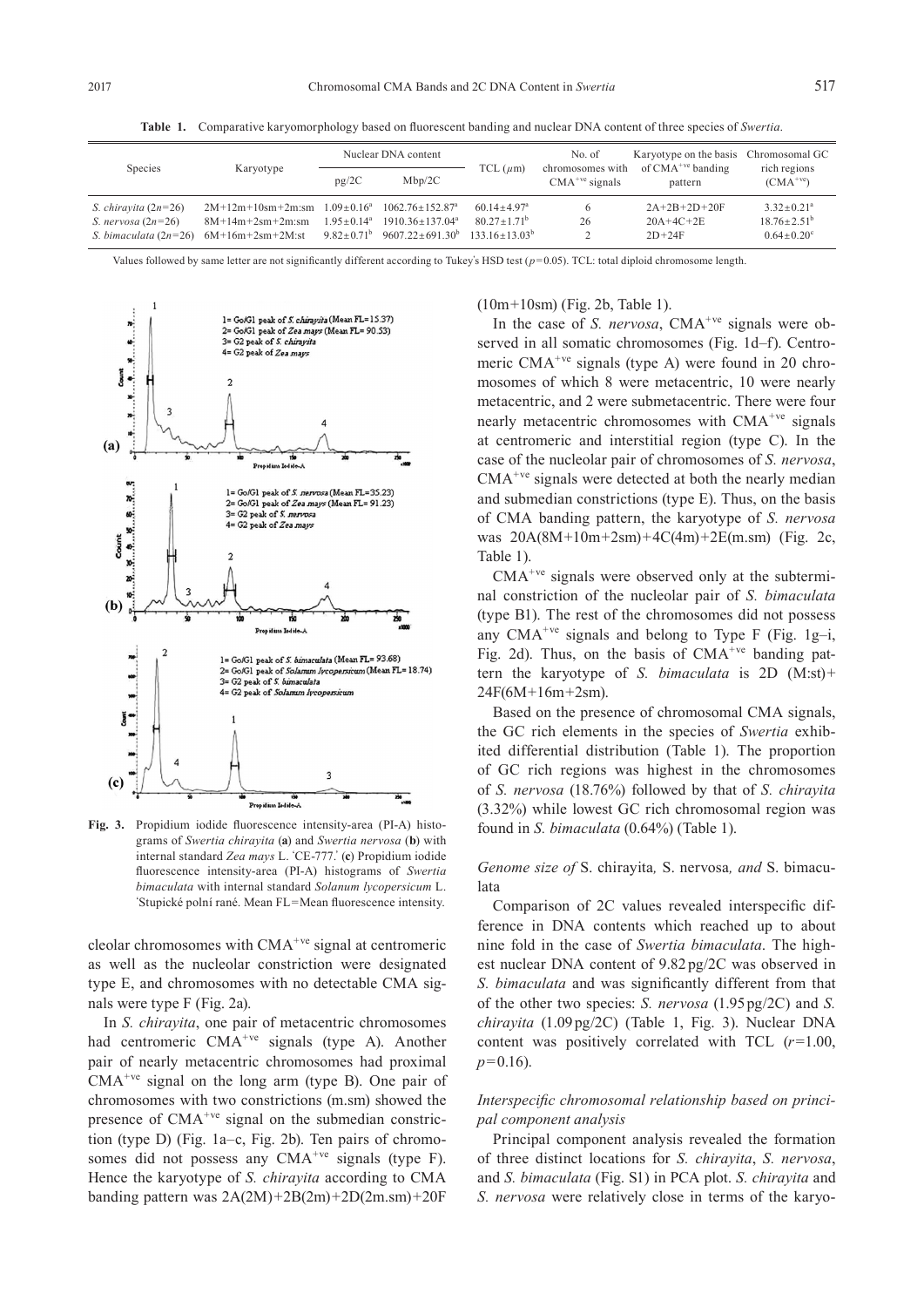**Table 1.** Comparative karyomorphology based on fluorescent banding and nuclear DNA content of three species of *Swertia*.

| Species                 | Karyotype                                                | Nuclear DNA content |                                          |                               | No. of                               | Karyotype on the basis<br>of $CMA^{+ve}$ banding | Chromosomal GC<br>rich regions |
|-------------------------|----------------------------------------------------------|---------------------|------------------------------------------|-------------------------------|--------------------------------------|--------------------------------------------------|--------------------------------|
|                         |                                                          | pg/2C               | Mbp/2C                                   | $TCL$ ( $\mu$ m)              | chromosomes with<br>$CMA+ve$ signals | pattern                                          | $(CMA^{+ve})$                  |
| S. chiravita $(2n=26)$  | $2M+12m+10sm+2m:sm$ $1.09\pm0.16^a$ $1062.76\pm152.87^a$ |                     |                                          | $60.14 \pm 4.97$ <sup>a</sup> | <sub>(</sub>                         | $2A+2B+2D+20F$                                   | $3.32 \pm 0.21$ <sup>a</sup>   |
| S. nervosa $(2n=26)$    | $8M+14m+2sm+2m:sm$                                       | $1.95 \pm 0.14^a$   | $1910.36 \pm 137.04^a$                   | $80.27 \pm 1.71^b$            | 26                                   | $20A+4C+2E$                                      | $18.76 \pm 2.51^b$             |
| S. bimaculata $(2n=26)$ | $6M+16m+2sm+2M:st$                                       |                     | $9.82 \pm 0.71^b$ $9607.22 \pm 691.30^b$ | $133.16 \pm 13.03^b$          |                                      | $2D+24F$                                         | $0.64 \pm 0.20^{\circ}$        |

Values followed by same letter are not significantly different according to Tukey's HSD test (*p*=0.05). TCL: total diploid chromosome length.



**Fig. 3.** Propidium iodide fluorescence intensity-area (PI-A) histograms of *Swertia chirayita* (**a**) and *Swertia nervosa* (**b**) with internal standard *Zea mays* L. ʻCE-777.' (**c**) Propidium iodide fluorescence intensity-area (PI-A) histograms of *Swertia bimaculata* with internal standard *Solanum lycopersicum* L. ʻStupické polní rané. Mean FL=Mean fluorescence intensity.

cleolar chromosomes with  $CMA<sup>+ve</sup>$  signal at centromeric as well as the nucleolar constriction were designated type E, and chromosomes with no detectable CMA signals were type F (Fig. 2a).

In *S. chirayita*, one pair of metacentric chromosomes had centromeric CMA<sup>+ve</sup> signals (type A). Another pair of nearly metacentric chromosomes had proximal  $CMA<sup>+ve</sup>$  signal on the long arm (type B). One pair of chromosomes with two constrictions (m.sm) showed the presence of CMA+ve signal on the submedian constriction (type D) (Fig. 1a–c, Fig. 2b). Ten pairs of chromosomes did not possess any CMA<sup>+ve</sup> signals (type F). Hence the karyotype of *S. chirayita* according to CMA banding pattern was 2A(2M)+2B(2m)+2D(2m.sm)+20F

## (10m+10sm) (Fig. 2b, Table 1).

In the case of *S. nervosa*, CMA<sup>+ve</sup> signals were observed in all somatic chromosomes (Fig. 1d–f). Centromeric CMA<sup>+ve</sup> signals (type A) were found in 20 chromosomes of which 8 were metacentric, 10 were nearly metacentric, and 2 were submetacentric. There were four nearly metacentric chromosomes with CMA+ve signals at centromeric and interstitial region (type C). In the case of the nucleolar pair of chromosomes of *S. nervosa*,  $CMA<sup>+ve</sup>$  signals were detected at both the nearly median and submedian constrictions (type E). Thus, on the basis of CMA banding pattern, the karyotype of *S. nervosa* was 20A(8M+10m+2sm)+4C(4m)+2E(m.sm) (Fig. 2c, Table 1).

 $CMA<sup>+ve</sup>$  signals were observed only at the subterminal constriction of the nucleolar pair of *S. bimaculata* (type B1). The rest of the chromosomes did not possess any CMA<sup>+ve</sup> signals and belong to Type F (Fig. 1g-i, Fig. 2d). Thus, on the basis of  $CMA^{+ve}$  banding pattern the karyotype of *S. bimaculata* is 2D (M:st)+ 24F(6M+16m+2sm).

Based on the presence of chromosomal CMA signals, the GC rich elements in the species of *Swertia* exhibited differential distribution (Table 1). The proportion of GC rich regions was highest in the chromosomes of *S. nervosa* (18.76%) followed by that of *S. chirayita* (3.32%) while lowest GC rich chromosomal region was found in *S. bimaculata* (0.64%) (Table 1).

*Genome size of* S. chirayita*,* S. nervosa*, and* S. bimaculata

Comparison of 2C values revealed interspecific difference in DNA contents which reached up to about nine fold in the case of *Swertia bimaculata*. The highest nuclear DNA content of 9.82 pg/2C was observed in *S. bimaculata* and was significantly different from that of the other two species: *S. nervosa* (1.95 pg/2C) and *S. chirayita* (1.09 pg/2C) (Table 1, Fig. 3). Nuclear DNA content was positively correlated with TCL (*r*=1.00,  $p=0.16$ ).

# *Interspecific chromosomal relationship based on principal component analysis*

Principal component analysis revealed the formation of three distinct locations for *S. chirayita*, *S. nervosa*, and *S. bimaculata* (Fig. S1) in PCA plot. *S. chirayita* and *S. nervosa* were relatively close in terms of the karyo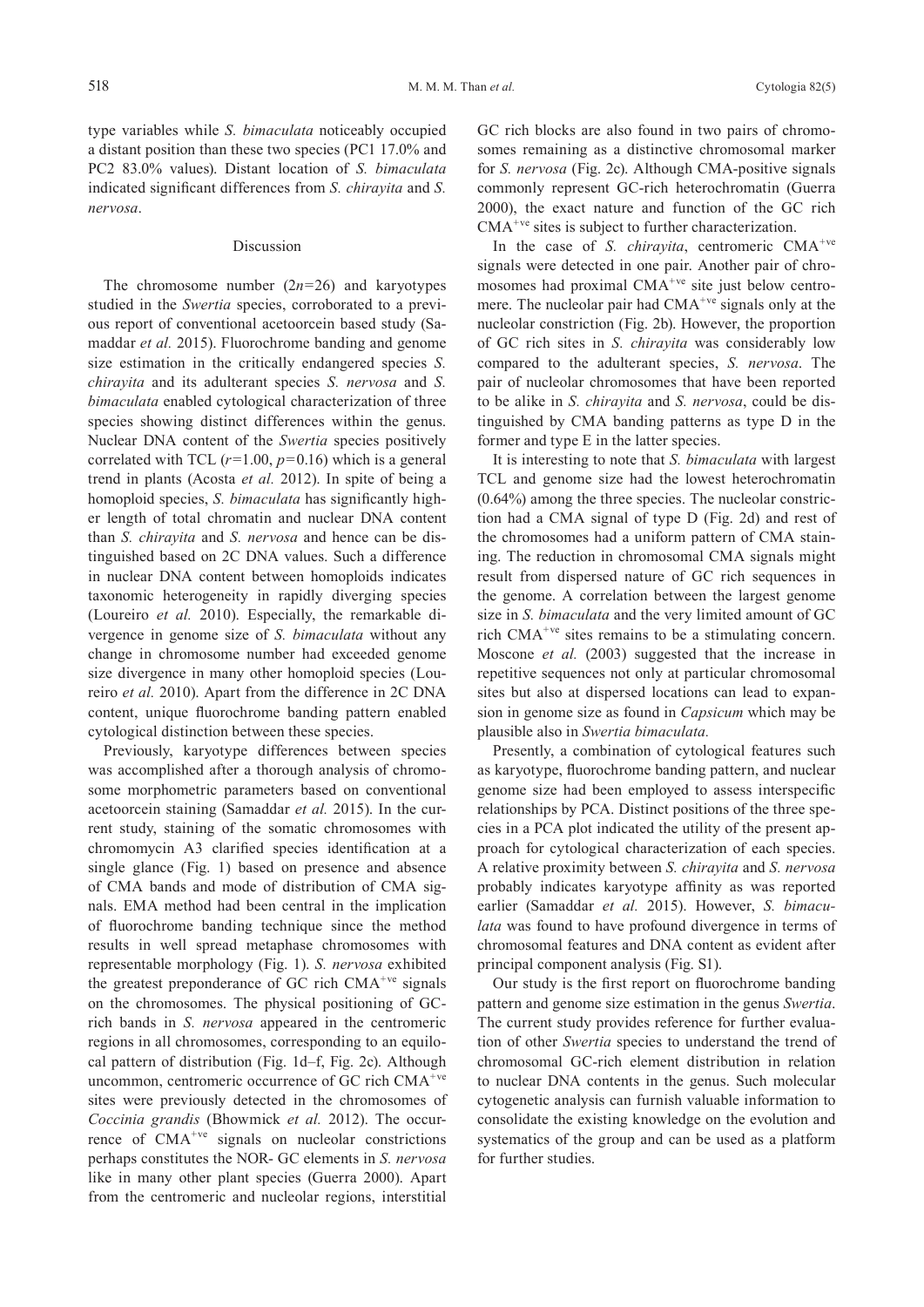type variables while *S. bimaculata* noticeably occupied a distant position than these two species (PC1 17.0% and PC2 83.0% values). Distant location of *S. bimaculata* indicated significant differences from *S. chirayita* and *S. nervosa*.

#### Discussion

The chromosome number  $(2n=26)$  and karyotypes studied in the *Swertia* species, corroborated to a previous report of conventional acetoorcein based study (Samaddar *et al.* 2015). Fluorochrome banding and genome size estimation in the critically endangered species *S. chirayita* and its adulterant species *S. nervosa* and *S. bimaculata* enabled cytological characterization of three species showing distinct differences within the genus. Nuclear DNA content of the *Swertia* species positively correlated with TCL  $(r=1.00, p=0.16)$  which is a general trend in plants (Acosta *et al.* 2012). In spite of being a homoploid species, *S. bimaculata* has significantly higher length of total chromatin and nuclear DNA content than *S. chirayita* and *S. nervosa* and hence can be distinguished based on 2C DNA values. Such a difference in nuclear DNA content between homoploids indicates taxonomic heterogeneity in rapidly diverging species (Loureiro *et al.* 2010). Especially, the remarkable divergence in genome size of *S. bimaculata* without any change in chromosome number had exceeded genome size divergence in many other homoploid species (Loureiro *et al.* 2010). Apart from the difference in 2C DNA content, unique fluorochrome banding pattern enabled cytological distinction between these species.

Previously, karyotype differences between species was accomplished after a thorough analysis of chromosome morphometric parameters based on conventional acetoorcein staining (Samaddar *et al.* 2015). In the current study, staining of the somatic chromosomes with chromomycin A3 clarified species identification at a single glance (Fig. 1) based on presence and absence of CMA bands and mode of distribution of CMA signals. EMA method had been central in the implication of fluorochrome banding technique since the method results in well spread metaphase chromosomes with representable morphology (Fig. 1). *S. nervosa* exhibited the greatest preponderance of GC rich CMA+ve signals on the chromosomes. The physical positioning of GCrich bands in *S. nervosa* appeared in the centromeric regions in all chromosomes, corresponding to an equilocal pattern of distribution (Fig. 1d–f, Fig. 2c). Although uncommon, centromeric occurrence of GC rich CMA+ve sites were previously detected in the chromosomes of *Coccinia grandis* (Bhowmick *et al.* 2012). The occurrence of CMA+ve signals on nucleolar constrictions perhaps constitutes the NOR- GC elements in *S. nervosa* like in many other plant species (Guerra 2000). Apart from the centromeric and nucleolar regions, interstitial

GC rich blocks are also found in two pairs of chromosomes remaining as a distinctive chromosomal marker for *S. nervosa* (Fig. 2c). Although CMA-positive signals commonly represent GC-rich heterochromatin (Guerra 2000), the exact nature and function of the GC rich CMA+ve sites is subject to further characterization.

In the case of *S. chirayita*, centromeric CMA<sup>+ve</sup> signals were detected in one pair. Another pair of chromosomes had proximal CMA<sup>+ve</sup> site just below centromere. The nucleolar pair had CMA<sup>+ve</sup> signals only at the nucleolar constriction (Fig. 2b). However, the proportion of GC rich sites in *S. chirayita* was considerably low compared to the adulterant species, *S. nervosa*. The pair of nucleolar chromosomes that have been reported to be alike in *S. chirayita* and *S. nervosa*, could be distinguished by CMA banding patterns as type D in the former and type E in the latter species.

It is interesting to note that *S. bimaculata* with largest TCL and genome size had the lowest heterochromatin (0.64%) among the three species. The nucleolar constriction had a CMA signal of type D (Fig. 2d) and rest of the chromosomes had a uniform pattern of CMA staining. The reduction in chromosomal CMA signals might result from dispersed nature of GC rich sequences in the genome. A correlation between the largest genome size in *S. bimaculata* and the very limited amount of GC rich CMA+ve sites remains to be a stimulating concern. Moscone *et al.* (2003) suggested that the increase in repetitive sequences not only at particular chromosomal sites but also at dispersed locations can lead to expansion in genome size as found in *Capsicum* which may be plausible also in *Swertia bimaculata.*

Presently, a combination of cytological features such as karyotype, fluorochrome banding pattern, and nuclear genome size had been employed to assess interspecific relationships by PCA. Distinct positions of the three species in a PCA plot indicated the utility of the present approach for cytological characterization of each species. A relative proximity between *S. chirayita* and *S. nervosa* probably indicates karyotype affinity as was reported earlier (Samaddar *et al.* 2015). However, *S. bimaculata* was found to have profound divergence in terms of chromosomal features and DNA content as evident after principal component analysis (Fig. S1).

Our study is the first report on fluorochrome banding pattern and genome size estimation in the genus *Swertia*. The current study provides reference for further evaluation of other *Swertia* species to understand the trend of chromosomal GC-rich element distribution in relation to nuclear DNA contents in the genus. Such molecular cytogenetic analysis can furnish valuable information to consolidate the existing knowledge on the evolution and systematics of the group and can be used as a platform for further studies.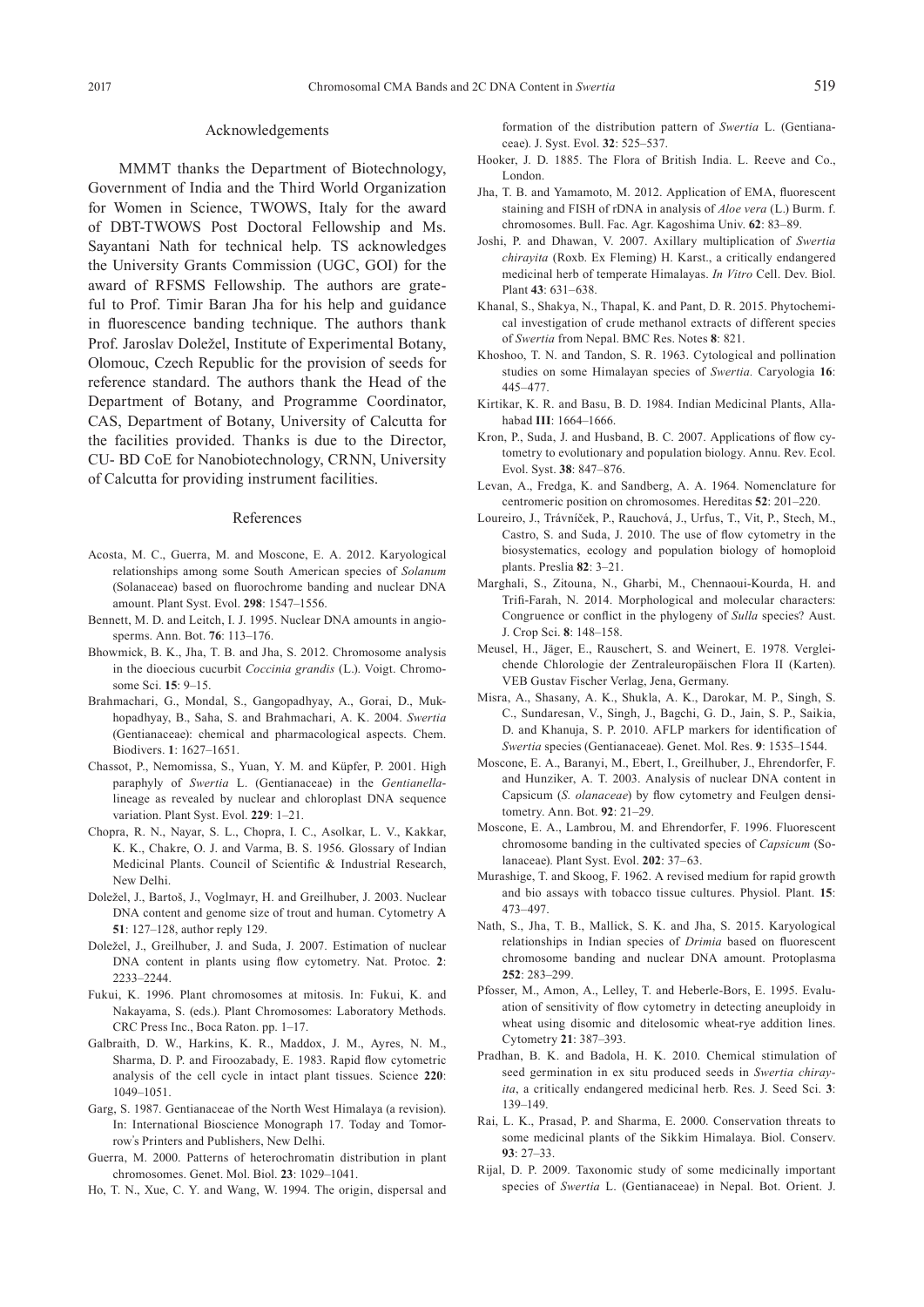#### Acknowledgements

MMMT thanks the Department of Biotechnology, Government of India and the Third World Organization for Women in Science, TWOWS, Italy for the award of DBT-TWOWS Post Doctoral Fellowship and Ms. Sayantani Nath for technical help. TS acknowledges the University Grants Commission (UGC, GOI) for the award of RFSMS Fellowship. The authors are grateful to Prof. Timir Baran Jha for his help and guidance in fluorescence banding technique. The authors thank Prof. Jaroslav Doležel, Institute of Experimental Botany, Olomouc, Czech Republic for the provision of seeds for reference standard. The authors thank the Head of the Department of Botany, and Programme Coordinator, CAS, Department of Botany, University of Calcutta for the facilities provided. Thanks is due to the Director, CU- BD CoE for Nanobiotechnology, CRNN, University of Calcutta for providing instrument facilities.

## References

- [Acosta, M. C., Guerra, M. and Moscone, E. A. 2012. Karyological](http://dx.doi.org/10.1007/s00606-012-0657-x)  [relationships among some South American species of](http://dx.doi.org/10.1007/s00606-012-0657-x) *Solanum* [\(Solanaceae\) based on fluorochrome banding and nuclear DNA](http://dx.doi.org/10.1007/s00606-012-0657-x)  [amount. Plant Syst. Evol.](http://dx.doi.org/10.1007/s00606-012-0657-x) **298**: 1547–1556.
- [Bennett, M. D. and Leitch, I. J. 1995. Nuclear DNA amounts in angio](http://dx.doi.org/10.1006/anbo.1995.1085)[sperms. Ann. Bot.](http://dx.doi.org/10.1006/anbo.1995.1085) **76**: 113–176.
- Bhowmick, B. K., Jha, T. B. and Jha, S. 2012. Chromosome analysis in the dioecious cucurbit *Coccinia grandis* (L.). Voigt. Chromosome Sci. **15**: 9–15.
- [Brahmachari, G., Mondal, S., Gangopadhyay, A., Gorai, D., Muk](http://dx.doi.org/10.1002/cbdv.200490123)[hopadhyay, B., Saha, S. and Brahmachari, A. K. 2004.](http://dx.doi.org/10.1002/cbdv.200490123) *Swertia* [\(Gentianaceae\): chemical and pharmacological aspects. Chem.](http://dx.doi.org/10.1002/cbdv.200490123)  Biodivers. **1**[: 1627–1651.](http://dx.doi.org/10.1002/cbdv.200490123)
- [Chassot, P., Nemomissa, S., Yuan, Y. M. and Küpfer, P. 2001. High](http://dx.doi.org/10.1007/s006060170015)  paraphyly of *Swertia* [L. \(Gentianaceae\) in the](http://dx.doi.org/10.1007/s006060170015) *Gentianella*[lineage as revealed by nuclear and chloroplast DNA sequence](http://dx.doi.org/10.1007/s006060170015)  [variation. Plant Syst. Evol.](http://dx.doi.org/10.1007/s006060170015) **229**: 1–21.
- Chopra, R. N., Nayar, S. L., Chopra, I. C., Asolkar, L. V., Kakkar, K. K., Chakre, O. J. and Varma, B. S. 1956. Glossary of Indian Medicinal Plants. Council of Scientific & Industrial Research, New Delhi.
- Doležel, J., Bartoš, J., Voglmayr, H. and Greilhuber, J. 2003. Nuclear DNA content and genome size of trout and human. Cytometry A **51**: 127–128, author reply 129.
- [Doležel, J., Greilhuber, J. and Suda, J. 2007. Estimation of nuclear](http://dx.doi.org/10.1038/nprot.2007.310)  [DNA content in plants using flow cytometry. Nat. Protoc.](http://dx.doi.org/10.1038/nprot.2007.310) **2**: [2233–2244.](http://dx.doi.org/10.1038/nprot.2007.310)
- Fukui, K. 1996. Plant chromosomes at mitosis. In: Fukui, K. and Nakayama, S. (eds.). Plant Chromosomes: Laboratory Methods. CRC Press Inc., Boca Raton. pp. 1–17.
- [Galbraith, D. W., Harkins, K. R., Maddox, J. M., Ayres, N. M.,](http://dx.doi.org/10.1126/science.220.4601.1049)  [Sharma, D. P. and Firoozabady, E. 1983. Rapid flow cytometric](http://dx.doi.org/10.1126/science.220.4601.1049)  [analysis of the cell cycle in intact plant tissues. Science](http://dx.doi.org/10.1126/science.220.4601.1049) **220**: [1049–1051.](http://dx.doi.org/10.1126/science.220.4601.1049)
- Garg, S. 1987. Gentianaceae of the North West Himalaya (a revision). In: International Bioscience Monograph 17. Today and Tomorrow's Printers and Publishers, New Delhi.
- [Guerra, M. 2000. Patterns of heterochromatin distribution in plant](http://dx.doi.org/10.1590/S1415-47572000000400049)  [chromosomes. Genet. Mol. Biol.](http://dx.doi.org/10.1590/S1415-47572000000400049) **23**: 1029–1041.
- Ho, T. N., Xue, C. Y. and Wang, W. 1994. The origin, dispersal and

formation of the distribution pattern of *Swertia* L. (Gentianaceae). J. Syst. Evol. **32**: 525–537.

- Hooker, J. D. 1885. The Flora of British India. L. Reeve and Co., London.
- Jha, T. B. and Yamamoto, M. 2012. Application of EMA, fluorescent staining and FISH of rDNA in analysis of *Aloe vera* (L.) Burm. f. chromosomes. Bull. Fac. Agr. Kagoshima Univ. **62**: 83–89.
- [Joshi, P. and Dhawan, V. 2007. Axillary multiplication of](http://dx.doi.org/10.1007/s11627-007-9065-2) *Swertia chirayita* [\(Roxb. Ex Fleming\) H. Karst., a critically endangered](http://dx.doi.org/10.1007/s11627-007-9065-2)  [medicinal herb of temperate Himalayas.](http://dx.doi.org/10.1007/s11627-007-9065-2) *In Vitro* Cell. Dev. Biol. Plant **43**[: 631–638.](http://dx.doi.org/10.1007/s11627-007-9065-2)
- [Khanal, S., Shakya, N., Thapal, K. and Pant, D. R. 2015. Phytochemi](http://dx.doi.org/10.1186/s13104-015-1753-0)[cal investigation of crude methanol extracts of different species](http://dx.doi.org/10.1186/s13104-015-1753-0)  of *Swertia* [from Nepal. BMC Res. Notes](http://dx.doi.org/10.1186/s13104-015-1753-0) **8**: 821.
- Khoshoo, T. N. and Tandon, S. R. 1963. Cytological and pollination studies on some Himalayan species of *Swertia.* Caryologia **16**: 445–477.
- Kirtikar, K. R. and Basu, B. D. 1984. Indian Medicinal Plants, Allahabad **III**: 1664–1666.
- [Kron, P., Suda, J. and Husband, B. C. 2007. Applications of flow cy](http://dx.doi.org/10.1146/annurev.ecolsys.38.091206.095504)[tometry to evolutionary and population biology. Annu. Rev. Ecol.](http://dx.doi.org/10.1146/annurev.ecolsys.38.091206.095504)  [Evol. Syst.](http://dx.doi.org/10.1146/annurev.ecolsys.38.091206.095504) **38**: 847–876.
- [Levan, A., Fredga, K. and Sandberg, A. A. 1964. Nomenclature for](http://dx.doi.org/10.1111/j.1601-5223.1964.tb01953.x)  [centromeric position on chromosomes. Hereditas](http://dx.doi.org/10.1111/j.1601-5223.1964.tb01953.x) **52**: 201–220.
- Loureiro, J., Trávníček, P., Rauchová, J., Urfus, T., Vit, P., Stech, M., Castro, S. and Suda, J. 2010. The use of flow cytometry in the biosystematics, ecology and population biology of homoploid plants. Preslia **82**: 3–21.
- Marghali, S., Zitouna, N., Gharbi, M., Chennaoui-Kourda, H. and Trifi-Farah, N. 2014. Morphological and molecular characters: Congruence or conflict in the phylogeny of *Sulla* species? Aust. J. Crop Sci. **8**: 148–158.
- Meusel, H., Jäger, E., Rauschert, S. and Weinert, E. 1978. Vergleichende Chlorologie der Zentraleuropäischen Flora II (Karten). VEB Gustav Fischer Verlag, Jena, Germany.
- [Misra, A., Shasany, A. K., Shukla, A. K., Darokar, M. P., Singh, S.](http://dx.doi.org/10.4238/vol9-3gmr785)  [C., Sundaresan, V., Singh, J., Bagchi, G. D., Jain, S. P., Saikia,](http://dx.doi.org/10.4238/vol9-3gmr785)  [D. and Khanuja, S. P. 2010. AFLP markers for identification of](http://dx.doi.org/10.4238/vol9-3gmr785)  *Swertia* [species \(Gentianaceae\). Genet. Mol. Res.](http://dx.doi.org/10.4238/vol9-3gmr785) **9**: 1535–1544.
- [Moscone, E. A., Baranyi, M., Ebert, I., Greilhuber, J., Ehrendorfer, F.](http://dx.doi.org/10.1093/aob/mcg105)  [and Hunziker, A. T. 2003. Analysis of nuclear DNA content in](http://dx.doi.org/10.1093/aob/mcg105)  Capsicum (*S. olanaceae*[\) by flow cytometry and Feulgen densi](http://dx.doi.org/10.1093/aob/mcg105)[tometry. Ann. Bot.](http://dx.doi.org/10.1093/aob/mcg105) **92**: 21–29.
- [Moscone, E. A., Lambrou, M. and Ehrendorfer, F. 1996. Fluorescent](http://dx.doi.org/10.1007/BF00985817)  [chromosome banding in the cultivated species of](http://dx.doi.org/10.1007/BF00985817) *Capsicum* (So[lanaceae\). Plant Syst. Evol.](http://dx.doi.org/10.1007/BF00985817) **202**: 37–63.
- [Murashige, T. and Skoog, F. 1962. A revised medium for rapid growth](http://dx.doi.org/10.1111/j.1399-3054.1962.tb08052.x)  [and bio assays with tobacco tissue cultures. Physiol. Plant.](http://dx.doi.org/10.1111/j.1399-3054.1962.tb08052.x) **15**: [473–497.](http://dx.doi.org/10.1111/j.1399-3054.1962.tb08052.x)
- [Nath, S., Jha, T. B., Mallick, S. K. and Jha, S. 2015. Karyological](http://dx.doi.org/10.1007/s00709-014-0679-z)  [relationships in Indian species of](http://dx.doi.org/10.1007/s00709-014-0679-z) *Drimia* based on fluorescent [chromosome banding and nuclear DNA amount. Protoplasma](http://dx.doi.org/10.1007/s00709-014-0679-z)  **252**[: 283–299.](http://dx.doi.org/10.1007/s00709-014-0679-z)
- [Pfosser, M., Amon, A., Lelley, T. and Heberle-Bors, E. 1995. Evalu](http://dx.doi.org/10.1002/cyto.990210412)[ation of sensitivity of flow cytometry in detecting aneuploidy in](http://dx.doi.org/10.1002/cyto.990210412)  [wheat using disomic and ditelosomic wheat-rye addition lines.](http://dx.doi.org/10.1002/cyto.990210412)  [Cytometry](http://dx.doi.org/10.1002/cyto.990210412) **21**: 387–393.
- [Pradhan, B. K. and Badola, H. K. 2010. Chemical stimulation of](http://dx.doi.org/10.3923/rjss.2010.139.149)  [seed germination in ex situ produced seeds in](http://dx.doi.org/10.3923/rjss.2010.139.149) *Swertia chirayita*[, a critically endangered medicinal herb. Res. J. Seed Sci.](http://dx.doi.org/10.3923/rjss.2010.139.149) **3**: [139–149.](http://dx.doi.org/10.3923/rjss.2010.139.149)
- [Rai, L. K., Prasad, P. and Sharma, E. 2000. Conservation threats to](http://dx.doi.org/10.1016/S0006-3207(99)00116-0)  [some medicinal plants of the Sikkim Himalaya. Biol. Conserv.](http://dx.doi.org/10.1016/S0006-3207(99)00116-0)  **93**[: 27–33.](http://dx.doi.org/10.1016/S0006-3207(99)00116-0)
- Rijal, D. P. 2009. Taxonomic study of some medicinally important species of *Swertia* L. (Gentianaceae) in Nepal. Bot. Orient. J.